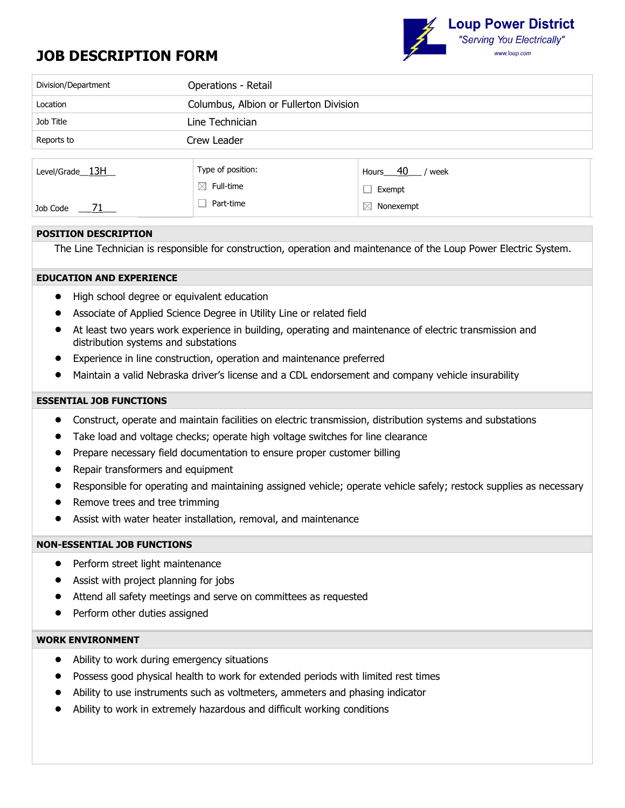# **JOB DESCRIPTION FORM**



| Division/Department        | Operations - Retail                    |                               |  |  |  |
|----------------------------|----------------------------------------|-------------------------------|--|--|--|
| Location                   | Columbus, Albion or Fullerton Division |                               |  |  |  |
| Job Title                  | Line Technician                        |                               |  |  |  |
| Reports to                 | Crew Leader                            |                               |  |  |  |
|                            |                                        |                               |  |  |  |
| Level/Grade <sub>13H</sub> | Type of position:                      | Hours <sub>40</sub><br>/ week |  |  |  |
|                            | $\boxtimes$ Full-time                  | Exempt                        |  |  |  |
| Job Code                   | Part-time                              | M<br>Nonexempt                |  |  |  |

## **POSITION DESCRIPTION**

The Line Technician is responsible for construction, operation and maintenance of the Loup Power Electric System.

## **EDUCATION AND EXPERIENCE**

- High school degree or equivalent education
- Associate of Applied Science Degree in Utility Line or related field
- At least two years work experience in building, operating and maintenance of electric transmission and distribution systems and substations
- Experience in line construction, operation and maintenance preferred
- Maintain a valid Nebraska driver's license and a CDL endorsement and company vehicle insurability

## **ESSENTIAL JOB FUNCTIONS**

- Construct, operate and maintain facilities on electric transmission, distribution systems and substations
- Take load and voltage checks; operate high voltage switches for line clearance
- Prepare necessary field documentation to ensure proper customer billing
- Repair transformers and equipment
- Responsible for operating and maintaining assigned vehicle; operate vehicle safely; restock supplies as necessary
- Remove trees and tree trimming
- Assist with water heater installation, removal, and maintenance

## **NON-ESSENTIAL JOB FUNCTIONS**

- Perform street light maintenance
- Assist with project planning for jobs
- Attend all safety meetings and serve on committees as requested
- Perform other duties assigned

# **WORK ENVIRONMENT**

- Ability to work during emergency situations
- Possess good physical health to work for extended periods with limited rest times
- Ability to use instruments such as voltmeters, ammeters and phasing indicator
- Ability to work in extremely hazardous and difficult working conditions